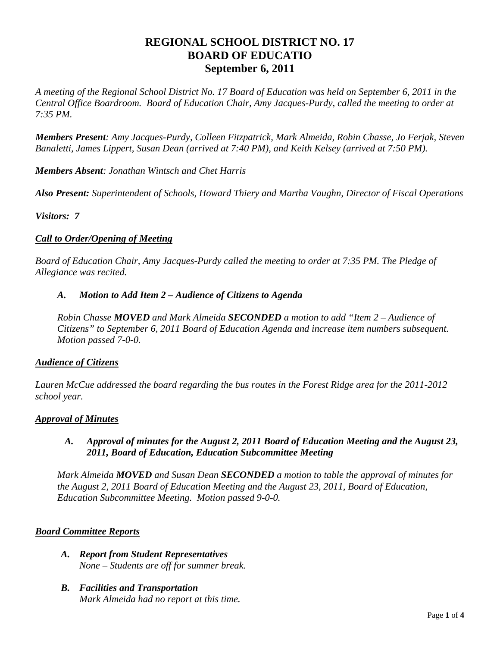# **REGIONAL SCHOOL DISTRICT NO. 17 BOARD OF EDUCATIO September 6, 2011**

*A meeting of the Regional School District No. 17 Board of Education was held on September 6, 2011 in the Central Office Boardroom. Board of Education Chair, Amy Jacques-Purdy, called the meeting to order at 7:35 PM.* 

*Members Present: Amy Jacques-Purdy, Colleen Fitzpatrick, Mark Almeida, Robin Chasse, Jo Ferjak, Steven Banaletti, James Lippert, Susan Dean (arrived at 7:40 PM), and Keith Kelsey (arrived at 7:50 PM).* 

*Members Absent: Jonathan Wintsch and Chet Harris* 

*Also Present: Superintendent of Schools, Howard Thiery and Martha Vaughn, Director of Fiscal Operations* 

*Visitors: 7*

### *Call to Order/Opening of Meeting*

*Board of Education Chair, Amy Jacques-Purdy called the meeting to order at 7:35 PM. The Pledge of Allegiance was recited.* 

#### *A. Motion to Add Item 2 – Audience of Citizens to Agenda*

*Robin Chasse MOVED and Mark Almeida SECONDED a motion to add "Item 2 – Audience of Citizens" to September 6, 2011 Board of Education Agenda and increase item numbers subsequent. Motion passed 7-0-0.* 

#### *Audience of Citizens*

*Lauren McCue addressed the board regarding the bus routes in the Forest Ridge area for the 2011-2012 school year.* 

#### *Approval of Minutes*

#### *A. Approval of minutes for the August 2, 2011 Board of Education Meeting and the August 23, 2011, Board of Education, Education Subcommittee Meeting*

*Mark Almeida MOVED and Susan Dean SECONDED a motion to table the approval of minutes for the August 2, 2011 Board of Education Meeting and the August 23, 2011, Board of Education, Education Subcommittee Meeting. Motion passed 9-0-0.* 

#### *Board Committee Reports*

- *A. Report from Student Representatives None – Students are off for summer break.*
- *B. Facilities and Transportation Mark Almeida had no report at this time.*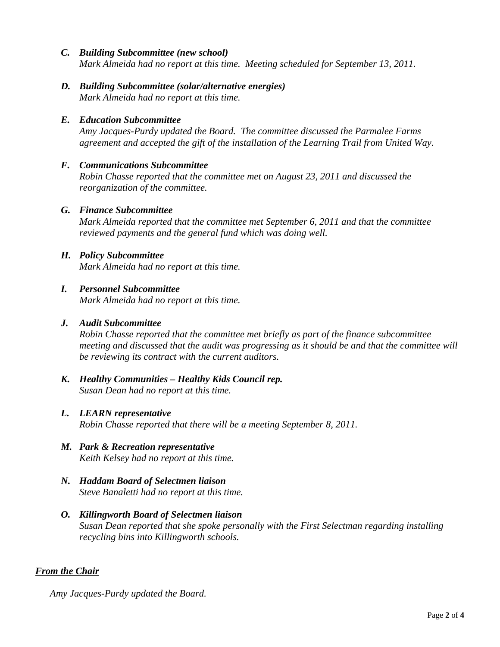- *C. Building Subcommittee (new school) Mark Almeida had no report at this time. Meeting scheduled for September 13, 2011.*
- *D. Building Subcommittee (solar/alternative energies) Mark Almeida had no report at this time.*

# *E. Education Subcommittee*

*Amy Jacques-Purdy updated the Board. The committee discussed the Parmalee Farms agreement and accepted the gift of the installation of the Learning Trail from United Way.* 

### *F. Communications Subcommittee*

*Robin Chasse reported that the committee met on August 23, 2011 and discussed the reorganization of the committee.* 

### *G. Finance Subcommittee*

*Mark Almeida reported that the committee met September 6, 2011 and that the committee reviewed payments and the general fund which was doing well.* 

#### *H. Policy Subcommittee Mark Almeida had no report at this time.*

### *I. Personnel Subcommittee*

*Mark Almeida had no report at this time.* 

#### *J. Audit Subcommittee*

*Robin Chasse reported that the committee met briefly as part of the finance subcommittee meeting and discussed that the audit was progressing as it should be and that the committee will be reviewing its contract with the current auditors.* 

*K. Healthy Communities – Healthy Kids Council rep. Susan Dean had no report at this time.* 

### *L. LEARN representative*

*Robin Chasse reported that there will be a meeting September 8, 2011.* 

- *M. Park & Recreation representative Keith Kelsey had no report at this time.*
- *N. Haddam Board of Selectmen liaison Steve Banaletti had no report at this time.*
- *O. Killingworth Board of Selectmen liaison Susan Dean reported that she spoke personally with the First Selectman regarding installing recycling bins into Killingworth schools.*

### *From the Chair*

*Amy Jacques-Purdy updated the Board.*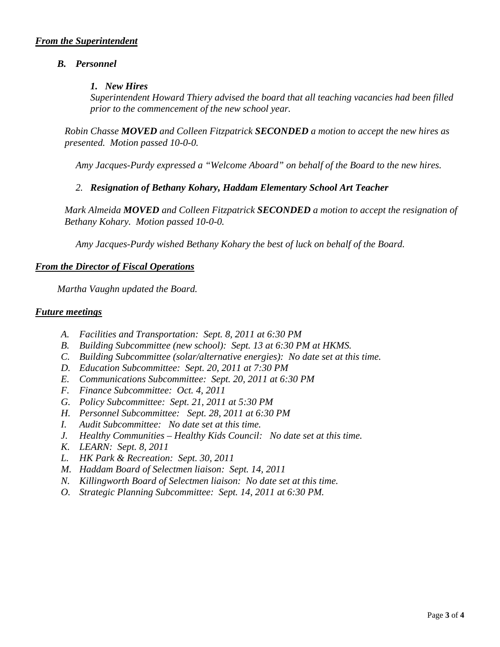### *B. Personnel*

#### *1. New Hires*

*Superintendent Howard Thiery advised the board that all teaching vacancies had been filled prior to the commencement of the new school year.* 

*Robin Chasse MOVED and Colleen Fitzpatrick SECONDED a motion to accept the new hires as presented. Motion passed 10-0-0.* 

 *Amy Jacques-Purdy expressed a "Welcome Aboard" on behalf of the Board to the new hires.* 

### *2. Resignation of Bethany Kohary, Haddam Elementary School Art Teacher*

*Mark Almeida MOVED and Colleen Fitzpatrick SECONDED a motion to accept the resignation of Bethany Kohary. Motion passed 10-0-0.* 

 *Amy Jacques-Purdy wished Bethany Kohary the best of luck on behalf of the Board.* 

#### *From the Director of Fiscal Operations*

*Martha Vaughn updated the Board.* 

#### *Future meetings*

- *A. Facilities and Transportation: Sept. 8, 2011 at 6:30 PM*
- *B. Building Subcommittee (new school): Sept. 13 at 6:30 PM at HKMS.*
- *C. Building Subcommittee (solar/alternative energies): No date set at this time.*
- *D. Education Subcommittee: Sept. 20, 2011 at 7:30 PM*
- *E. Communications Subcommittee: Sept. 20, 2011 at 6:30 PM*
- *F. Finance Subcommittee: Oct. 4, 2011*
- *G. Policy Subcommittee: Sept. 21, 2011 at 5:30 PM*
- *H. Personnel Subcommittee: Sept. 28, 2011 at 6:30 PM*
- *I. Audit Subcommittee: No date set at this time.*
- *J. Healthy Communities Healthy Kids Council: No date set at this time.*
- *K. LEARN: Sept. 8, 2011*
- *L. HK Park & Recreation: Sept. 30, 2011*
- *M. Haddam Board of Selectmen liaison: Sept. 14, 2011*
- *N. Killingworth Board of Selectmen liaison: No date set at this time.*
- *O. Strategic Planning Subcommittee: Sept. 14, 2011 at 6:30 PM.*